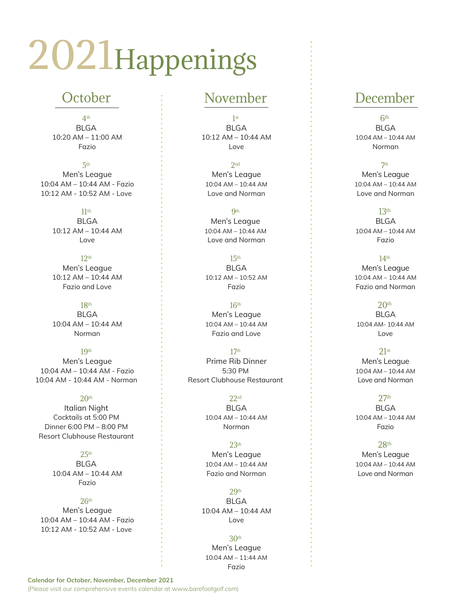# 2021Happenings

## **October**

4th **BLGA**  10:20 AM – 11:00 AM Fazio

5th Men's League 10:04 AM – 10:44 AM - Fazio 10:12 AM - 10:52 AM - Love

> 11th BLGA 10:12 AM – 10:44 AM Love

12th Men's League 10:12 AM – 10:44 AM Fazio and Love

18th **BLGA**  10:04 AM – 10:44 AM Norman

19th Men's League 10:04 AM – 10:44 AM - Fazio 10:04 AM - 10:44 AM - Norman

#### $20<sup>th</sup>$ Italian Night Cocktails at 5:00 PM Dinner 6:00 PM – 8:00 PM

Resort Clubhouse Restaurant

 $25<sup>th</sup>$ **BLGA**  10:04 AM – 10:44 AM Fazio

#### $26<sup>th</sup>$

 Men's League 10:04 AM – 10:44 AM - Fazio 10:12 AM - 10:52 AM - Love

### November

1st **BLGA**  10:12 AM – 10:44 AM Love

 $2nd$  Men's League 10:04 AM – 10:44 AM Love and Norman

**Qth** Men's League 10:04 AM – 10:44 AM Love and Norman

15th BLGA 10:12 AM – 10:52 AM Fazio

 $16<sup>th</sup>$ 

 Men's League 10:04 AM – 10:44 AM Fazio and Love

17th Prime Rib Dinner 5:30 PM Resort Clubhouse Restaurant

> 22rd BLGA 10:04 AM – 10:44 AM Norman

23th Men's League 10:04 AM – 10:44 AM Fazio and Norman

29th BLGA 10:04 AM – 10:44 AM Love

30th Men's League 10:04 AM – 11:44 AM Fazio

# December

6th BLGA 10:04 AM – 10:44 AM Norman

7th Men's League 10:04 AM – 10:44 AM Love and Norman

13th

BLGA 10:04 AM – 10:44 AM Fazio

14th Men's League 10:04 AM – 10:44 AM Fazio and Norman

 $20<sup>th</sup>$ **BLGA**  10:04 AM- 10:44 AM Love

#### 21st

 Men's League 10:04 AM – 10:44 AM Love and Norman

#### $27<sup>th</sup>$

 BLGA 10:04 AM – 10:44 AM Fazio

28th

 Men's League 10:04 AM – 10:44 AM Love and Norman

**Calendar for October, November, December 2021** (Please visit our comprehensive events calendar at www.barefootgolf.com)